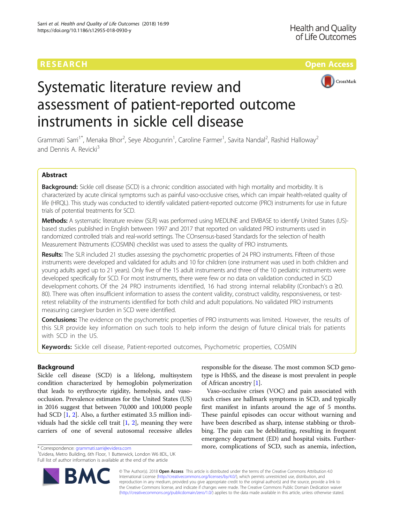# RESEARCH **RESEARCH CONSUMING THE CONSUMING TEACHER CONSUMING THE CONSUMING TEACHER CONSUMING THE CONSUMING TEACHER CONSUMING THE CONSUMING TEACHER CONSUMING THE CONSUMING TEACHER CONSUMING THE CONSUMING THE CONSUMING THE**



# Systematic literature review and assessment of patient-reported outcome instruments in sickle cell disease

Grammati Sarri<sup>1\*</sup>, Menaka Bhor<sup>2</sup>, Seye Abogunrin<sup>1</sup>, Caroline Farmer<sup>1</sup>, Savita Nandal<sup>2</sup>, Rashid Halloway<sup>2</sup> and Dennis A. Revicki<sup>3</sup>

# Abstract

Background: Sickle cell disease (SCD) is a chronic condition associated with high mortality and morbidity. It is characterized by acute clinical symptoms such as painful vaso-occlusive crises, which can impair health-related quality of life (HRQL). This study was conducted to identify validated patient-reported outcome (PRO) instruments for use in future trials of potential treatments for SCD.

Methods: A systematic literature review (SLR) was performed using MEDLINE and EMBASE to identify United States (US)based studies published in English between 1997 and 2017 that reported on validated PRO instruments used in randomized controlled trials and real-world settings. The COnsensus-based Standards for the selection of health Measurement INstruments (COSMIN) checklist was used to assess the quality of PRO instruments.

Results: The SLR included 21 studies assessing the psychometric properties of 24 PRO instruments. Fifteen of those instruments were developed and validated for adults and 10 for children (one instrument was used in both children and young adults aged up to 21 years). Only five of the 15 adult instruments and three of the 10 pediatric instruments were developed specifically for SCD. For most instruments, there were few or no data on validation conducted in SCD development cohorts. Of the 24 PRO instruments identified, 16 had strong internal reliability (Cronbach's α ≥0. 80). There was often insufficient information to assess the content validity, construct validity, responsiveness, or testretest reliability of the instruments identified for both child and adult populations. No validated PRO instruments measuring caregiver burden in SCD were identified.

Conclusions: The evidence on the psychometric properties of PRO instruments was limited. However, the results of this SLR provide key information on such tools to help inform the design of future clinical trials for patients with SCD in the US.

Keywords: Sickle cell disease, Patient-reported outcomes, Psychometric properties, COSMIN

# Background

Sickle cell disease (SCD) is a lifelong, multisystem condition characterized by hemoglobin polymerization that leads to erythrocyte rigidity, hemolysis, and vasoocclusion. Prevalence estimates for the United States (US) in 2016 suggest that between 70,000 and 100,000 people had SCD [\[1](#page-11-0), [2](#page-11-0)]. Also, a further estimated 3.5 million individuals had the sickle cell trait  $[1, 2]$  $[1, 2]$  $[1, 2]$  $[1, 2]$  $[1, 2]$ , meaning they were carriers of one of several autosomal recessive alleles



Vaso-occlusive crises (VOC) and pain associated with such crises are hallmark symptoms in SCD, and typically first manifest in infants around the age of 5 months. These painful episodes can occur without warning and have been described as sharp, intense stabbing or throbbing. The pain can be debilitating, resulting in frequent emergency department (ED) and hospital visits. Further\*Correspondence: [grammati.sarri@evidera.com](mailto:grammati.sarri@evidera.com) more, complications of SCD, such as anemia, infection,



© The Author(s). 2018 Open Access This article is distributed under the terms of the Creative Commons Attribution 4.0 International License [\(http://creativecommons.org/licenses/by/4.0/](http://creativecommons.org/licenses/by/4.0/)), which permits unrestricted use, distribution, and reproduction in any medium, provided you give appropriate credit to the original author(s) and the source, provide a link to the Creative Commons license, and indicate if changes were made. The Creative Commons Public Domain Dedication waiver [\(http://creativecommons.org/publicdomain/zero/1.0/](http://creativecommons.org/publicdomain/zero/1.0/)) applies to the data made available in this article, unless otherwise stated.

<sup>&</sup>lt;sup>1</sup> Evidera, Metro Building, 6th Floor, 1 Butterwick, London W6 8DL, UK Full list of author information is available at the end of the article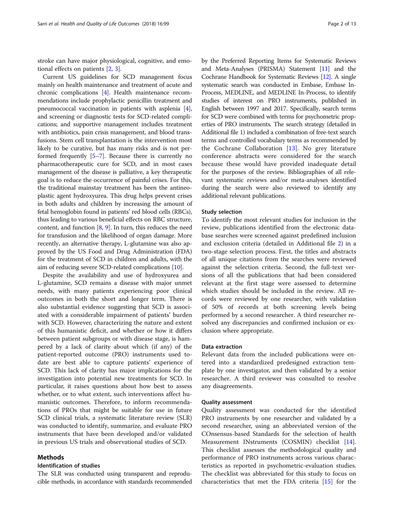stroke can have major physiological, cognitive, and emotional effects on patients [[2,](#page-11-0) [3\]](#page-11-0).

Current US guidelines for SCD management focus mainly on health maintenance and treatment of acute and chronic complications [[4\]](#page-11-0). Health maintenance recommendations include prophylactic penicillin treatment and pneumococcal vaccination in patients with asplenia [[4](#page-11-0)], and screening or diagnostic tests for SCD-related complications; and supportive management includes treatment with antibiotics, pain crisis management, and blood transfusions. Stem cell transplantation is the intervention most likely to be curative, but has many risks and is not performed frequently  $[5-7]$  $[5-7]$  $[5-7]$ . Because there is currently no pharmacotherapeutic cure for SCD, and in most cases management of the disease is palliative, a key therapeutic goal is to reduce the occurrence of painful crises. For this, the traditional mainstay treatment has been the antineoplastic agent hydroxyurea. This drug helps prevent crises in both adults and children by increasing the amount of fetal hemoglobin found in patients' red blood cells (RBCs), thus leading to various beneficial effects on RBC structure, content, and function [\[8](#page-11-0), [9\]](#page-11-0). In turn, this reduces the need for transfusion and the likelihood of organ damage. More recently, an alternative therapy, L-glutamine was also approved by the US Food and Drug Administration (FDA) for the treatment of SCD in children and adults, with the aim of reducing severe SCD-related complications [[10\]](#page-11-0).

Despite the availability and use of hydroxyurea and L-glutamine, SCD remains a disease with major unmet needs, with many patients experiencing poor clinical outcomes in both the short and longer term. There is also substantial evidence suggesting that SCD is associated with a considerable impairment of patients' burden with SCD. However, characterizing the nature and extent of this humanistic deficit, and whether or how it differs between patient subgroups or with disease stage, is hampered by a lack of clarity about which (if any) of the patient-reported outcome (PRO) instruments used todate are best able to capture patients' experience of SCD. This lack of clarity has major implications for the investigation into potential new treatments for SCD. In particular, it raises questions about how best to assess whether, or to what extent, such interventions affect humanistic outcomes. Therefore, to inform recommendations of PROs that might be suitable for use in future SCD clinical trials, a systematic literature review (SLR) was conducted to identify, summarize, and evaluate PRO instruments that have been developed and/or validated in previous US trials and observational studies of SCD.

## Methods

# Identification of studies

The SLR was conducted using transparent and reproducible methods, in accordance with standards recommended by the Preferred Reporting Items for Systematic Reviews and Meta-Analyses (PRISMA) Statement [\[11\]](#page-11-0) and the Cochrane Handbook for Systematic Reviews [\[12](#page-11-0)]. A single systematic search was conducted in Embase, Embase In-Process, MEDLINE, and MEDLINE In-Process, to identify studies of interest on PRO instruments, published in English between 1997 and 2017. Specifically, search terms for SCD were combined with terms for psychometric properties of PRO instruments. The search strategy (detailed in Additional file [1](#page-10-0)) included a combination of free-text search terms and controlled vocabulary terms as recommended by the Cochrane Collaboration [\[13](#page-11-0)]. No grey literature conference abstracts were considered for the search because these would have provided inadequate detail for the purposes of the review. Bibliographies of all relevant systematic reviews and/or meta-analyses identified during the search were also reviewed to identify any additional relevant publications.

#### Study selection

To identify the most relevant studies for inclusion in the review, publications identified from the electronic database searches were screened against predefined inclusion and exclusion criteria (detailed in Additional file [2\)](#page-10-0) in a two-stage selection process. First, the titles and abstracts of all unique citations from the searches were reviewed against the selection criteria. Second, the full-text versions of all the publications that had been considered relevant at the first stage were assessed to determine which studies should be included in the review. All records were reviewed by one researcher, with validation of 50% of records at both screening levels being performed by a second researcher. A third researcher resolved any discrepancies and confirmed inclusion or exclusion where appropriate.

#### Data extraction

Relevant data from the included publications were entered into a standardized predesigned extraction template by one investigator, and then validated by a senior researcher. A third reviewer was consulted to resolve any disagreements.

#### Quality assessment

Quality assessment was conducted for the identified PRO instruments by one researcher and validated by a second researcher, using an abbreviated version of the COnsensus-based Standards for the selection of health Measurement INstruments (COSMIN) checklist [\[14](#page-11-0)]. This checklist assesses the methodological quality and performance of PRO instruments across various characteristics as reported in psychometric-evaluation studies. The checklist was abbreviated for this study to focus on characteristics that met the FDA criteria [\[15](#page-11-0)] for the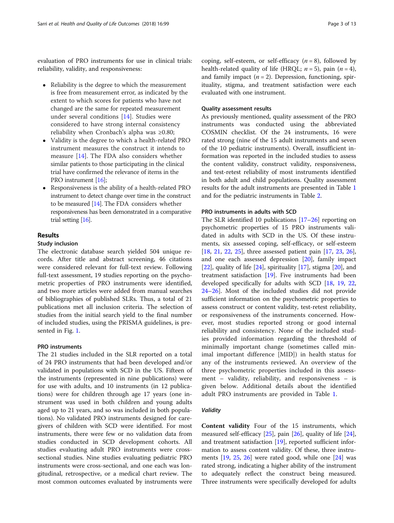evaluation of PRO instruments for use in clinical trials: reliability, validity, and responsiveness:

- Reliability is the degree to which the measurement is free from measurement error, as indicated by the extent to which scores for patients who have not changed are the same for repeated measurement under several conditions [\[14](#page-11-0)]. Studies were considered to have strong internal consistency reliability when Cronbach's alpha was ≥0.80;
- Validity is the degree to which a health-related PRO instrument measures the construct it intends to measure [[14\]](#page-11-0). The FDA also considers whether similar patients to those participating in the clinical trial have confirmed the relevance of items in the PRO instrument [\[16\]](#page-11-0);
- Responsiveness is the ability of a health-related PRO instrument to detect change over time in the construct to be measured [\[14\]](#page-11-0). The FDA considers whether responsiveness has been demonstrated in a comparative trial setting [[16\]](#page-11-0).

## Results

## Study inclusion

The electronic database search yielded 504 unique records. After title and abstract screening, 46 citations were considered relevant for full-text review. Following full-text assessment, 19 studies reporting on the psychometric properties of PRO instruments were identified, and two more articles were added from manual searches of bibliographies of published SLRs. Thus, a total of 21 publications met all inclusion criteria. The selection of studies from the initial search yield to the final number of included studies, using the PRISMA guidelines, is presented in Fig. [1](#page-3-0).

#### PRO instruments

The 21 studies included in the SLR reported on a total of 24 PRO instruments that had been developed and/or validated in populations with SCD in the US. Fifteen of the instruments (represented in nine publications) were for use with adults, and 10 instruments (in 12 publications) were for children through age 17 years (one instrument was used in both children and young adults aged up to 21 years, and so was included in both populations). No validated PRO instruments designed for caregivers of children with SCD were identified. For most instruments, there were few or no validation data from studies conducted in SCD development cohorts. All studies evaluating adult PRO instruments were crosssectional studies. Nine studies evaluating pediatric PRO instruments were cross-sectional, and one each was longitudinal, retrospective, or a medical chart review. The most common outcomes evaluated by instruments were

coping, self-esteem, or self-efficacy  $(n = 8)$ , followed by health-related quality of life (HRQL;  $n = 5$ ), pain ( $n = 4$ ), and family impact  $(n = 2)$ . Depression, functioning, spirituality, stigma, and treatment satisfaction were each evaluated with one instrument.

# Quality assessment results

As previously mentioned, quality assessment of the PRO instruments was conducted using the abbreviated COSMIN checklist. Of the 24 instruments, 16 were rated strong (nine of the 15 adult instruments and seven of the 10 pediatric instruments). Overall, insufficient information was reported in the included studies to assess the content validity, construct validity, responsiveness, and test-retest reliability of most instruments identified in both adult and child populations. Quality assessment results for the adult instruments are presented in Table [1](#page-4-0) and for the pediatric instruments in Table [2](#page-7-0).

#### PRO instruments in adults with SCD

The SLR identified 10 publications [[17](#page-11-0)–[26](#page-11-0)] reporting on psychometric properties of 15 PRO instruments validated in adults with SCD in the US. Of these instruments, six assessed coping, self-efficacy, or self-esteem [[18,](#page-11-0) [21](#page-11-0), [22](#page-11-0), [25\]](#page-11-0), three assessed patient pain [\[17,](#page-11-0) [23,](#page-11-0) [26](#page-11-0)], and one each assessed depression [\[20\]](#page-11-0), family impact [[22\]](#page-11-0), quality of life [\[24](#page-11-0)], spirituality [\[17](#page-11-0)], stigma [\[20](#page-11-0)], and treatment satisfaction [[19](#page-11-0)]. Five instruments had been developed specifically for adults with SCD [[18](#page-11-0), [19,](#page-11-0) [22](#page-11-0), [24](#page-11-0)–[26](#page-11-0)]. Most of the included studies did not provide sufficient information on the psychometric properties to assess construct or content validity, test-retest reliability, or responsiveness of the instruments concerned. However, most studies reported strong or good internal reliability and consistency. None of the included studies provided information regarding the threshold of minimally important change (sometimes called minimal important difference [MID]) in health status for any of the instruments reviewed. An overview of the three psychometric properties included in this assessment – validity, reliability, and responsiveness – is given below. Additional details about the identified adult PRO instruments are provided in Table [1.](#page-4-0)

#### Validity

Content validity Four of the 15 instruments, which measured self-efficacy  $[25]$  $[25]$ , pain  $[26]$  $[26]$ , quality of life  $[24]$  $[24]$ , and treatment satisfaction [\[19](#page-11-0)], reported sufficient information to assess content validity. Of these, three instruments  $[19, 25, 26]$  $[19, 25, 26]$  $[19, 25, 26]$  $[19, 25, 26]$  $[19, 25, 26]$  $[19, 25, 26]$  $[19, 25, 26]$  were rated good, while one  $[24]$  $[24]$  $[24]$  was rated strong, indicating a higher ability of the instrument to adequately reflect the construct being measured. Three instruments were specifically developed for adults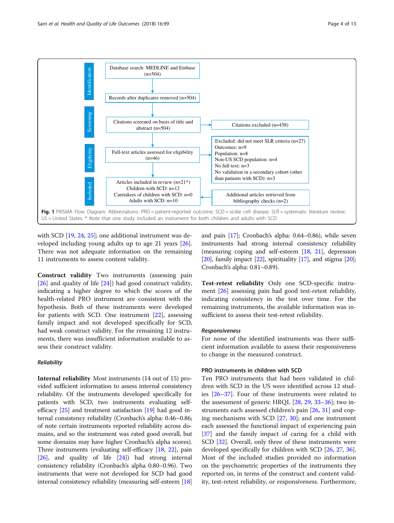<span id="page-3-0"></span>

with SCD [\[19](#page-11-0), [24,](#page-11-0) [25\]](#page-11-0); one additional instrument was developed including young adults up to age 21 years [\[26](#page-11-0)]. There was not adequate information on the remaining 11 instruments to assess content validity.

Construct validity Two instruments (assessing pain [[26\]](#page-11-0) and quality of life [[24\]](#page-11-0)) had good construct validity, indicating a higher degree to which the scores of the health-related PRO instrument are consistent with the hypothesis. Both of these instruments were developed for patients with SCD. One instrument [[22\]](#page-11-0), assessing family impact and not developed specifically for SCD, had weak construct validity. For the remaining 12 instruments, there was insufficient information available to assess their construct validity.

### Reliability

Internal reliability Most instruments (14 out of 15) provided sufficient information to assess internal consistency reliability. Of the instruments developed specifically for patients with SCD, two instruments evaluating selfefficacy [[25\]](#page-11-0) and treatment satisfaction [\[19](#page-11-0)] had good internal consistency reliability (Cronbach's alpha: 0.46–0.86; of note certain instruments reported reliability across domains, and so the instrument was rated good overall, but some domains may have higher Cronbach's alpha scores). Three instruments (evaluating self-efficacy [\[18,](#page-11-0) [22\]](#page-11-0), pain  $[26]$  $[26]$  $[26]$ , and quality of life  $[24]$  $[24]$  $[24]$ ) had strong internal consistency reliability (Cronbach's alpha 0.80–0.96). Two instruments that were not developed for SCD had good internal consistency reliability (measuring self-esteem [[18](#page-11-0)] and pain [\[17\]](#page-11-0); Cronbach's alpha: 0.64–0.86), while seven instruments had strong internal consistency reliability (measuring coping and self-esteem [\[18,](#page-11-0) [21\]](#page-11-0), depression  $[20]$  $[20]$  $[20]$ , family impact  $[22]$  $[22]$  $[22]$ , spirituality  $[17]$  $[17]$  $[17]$ , and stigma  $[20]$ ; Cronbach's alpha: 0.81–0.89).

Test-retest reliability Only one SCD-specific instrument [[26\]](#page-11-0) assessing pain had good test-retest reliability, indicating consistency in the test over time. For the remaining instruments, the available information was insufficient to assess their test-retest reliability.

#### Responsiveness

For none of the identified instruments was there sufficient information available to assess their responsiveness to change in the measured construct.

# PRO instruments in children with SCD

Ten PRO instruments that had been validated in children with SCD in the US were identified across 12 studies [\[26](#page-11-0)–[37\]](#page-12-0). Four of these instruments were related to the assessment of generic HRQL [\[28](#page-11-0), [29,](#page-11-0) [33](#page-11-0)–[36\]](#page-12-0); two instruments each assessed children's pain [[26](#page-11-0), [31](#page-11-0)] and coping mechanisms with SCD [\[27,](#page-11-0) [30](#page-11-0)]; and one instrument each assessed the functional impact of experiencing pain [[37\]](#page-12-0) and the family impact of caring for a child with SCD [\[32](#page-11-0)]. Overall, only three of these instruments were developed specifically for children with SCD [\[26](#page-11-0), [27](#page-11-0), [36](#page-12-0)]. Most of the included studies provided no information on the psychometric properties of the instruments they reported on, in terms of the construct and content validity, test-retest reliability, or responsiveness. Furthermore,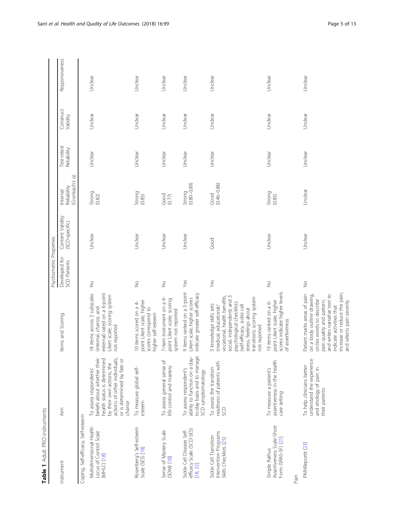| netrummete |
|------------|
| ļ          |
|            |
|            |

<span id="page-4-0"></span>

|                                                                           |                                                                                                                                                                                             |                                                                                                                                                                                                                                                     | Psychometric Properties       |                                    |                                           |                            |                       |                |
|---------------------------------------------------------------------------|---------------------------------------------------------------------------------------------------------------------------------------------------------------------------------------------|-----------------------------------------------------------------------------------------------------------------------------------------------------------------------------------------------------------------------------------------------------|-------------------------------|------------------------------------|-------------------------------------------|----------------------------|-----------------------|----------------|
| Instrument                                                                | Aim                                                                                                                                                                                         | Items and Scoring                                                                                                                                                                                                                                   | Developed for<br>SCD Patients | Content Validity<br>(SCD-specific) | (Cronbach's a)<br>Reliability<br>Internal | Test-retest<br>Reliability | Construct<br>Validity | Responsiveness |
| Coping, Self-efficacy, Self-esteem                                        |                                                                                                                                                                                             |                                                                                                                                                                                                                                                     |                               |                                    |                                           |                            |                       |                |
| Multidimensional Health<br>Locus of Control Scale<br>(MHLC) [18]          | actions of other individuals,<br>beliefs about whether their<br>health status is determined<br>or is determined by fate or<br>by their own actions, the<br>To assess respondents'<br>chance | 18 items across 3 subscales<br>external) rated on a 6-point<br>Likert scale; scoring system<br>(internal, chance, and<br>not reported                                                                                                               | $\frac{1}{2}$                 | Unclear                            | Strong<br>(0.82)                          | Unclear                    | Unclear               | Unclear        |
| Rosenberg's Self-esteem<br>Scale (SES) [18]                               | To measure global self-<br>esteem                                                                                                                                                           | point Likert scale; higher<br>10 items scored on a 4-<br>scores correspond to<br>higher self-esteem                                                                                                                                                 | $\frac{1}{2}$                 | Unclear                            | $$tromg$ $(0.85)$                         | Unclear                    | Unclear               | Unclear        |
| Sense of Mastery Scale<br>(SOM) [18]                                      | To assess general sense of<br>life control and mastery                                                                                                                                      | 7-item instrument on a 4-<br>point Likert scale; scoring<br>system not reported                                                                                                                                                                     | $\frac{1}{2}$                 | Unclear                            |                                           | Unclear                    | Unclear               | Unclear        |
| efficacy Scale (SCD-SES)<br>Sickle Cell Disease Self-<br>[18, 22]         | to-day basis and to manage<br>ability to function on a day-<br>To assess respondent's<br>SCD symptomatology                                                                                 | 9 items ranked on a 5-point<br>indicate greater self-efficacy<br>Likert scale; higher scores                                                                                                                                                        | Yes                           | Unclear                            | Strong<br>(0.80–0.89)                     | Unclear                    | Unclear               | Unclear        |
| Intervention Programs<br>Sickle Cell Transition<br>Skills Checklists [25] | readiness of patients with<br>To assess the transition<br>g                                                                                                                                 | social, independent) and 3<br>vocational, health benefits,<br>transition); scoring system<br>psychological checklists<br>5 knowledge skills sets<br>(self-efficacy, sickle cell<br>(medical, educational/<br>stress, feelings about<br>not reported | Yes                           | Good                               | $(0.46 - 0.86)$<br>Good                   | Unclear                    | Unclear               | Unclear        |
| Assertiveness Scale-Short<br>Form (SRAS-SF) [21]<br>Simple Rathus<br>Pain | assertiveness in the health<br>To measure a patient's<br>care setting                                                                                                                       | scores indicate higher levels<br>point Likert scale; higher<br>19 items ranked on a 6-<br>of assertiveness                                                                                                                                          | $\frac{1}{2}$                 | Unclear                            | $Strong$ $(0.85)$                         | Unclear                    | Unclear               | Unclear        |
| PAINReportit [23]                                                         | understand the experience<br>To help clinicians better<br>and etiology of pain in<br>their patients                                                                                         | increase or reduce the pain,<br>Patient marks areas of pain<br>and writes narrative text to<br>on a body outline drawing<br>circles words to describe<br>and selects pain severity<br>pain quality and pattern,<br>indicate activities that         | $\frac{1}{2}$                 | Unclear                            | Unclear                                   | Unclear                    | Unclear               | Unclear        |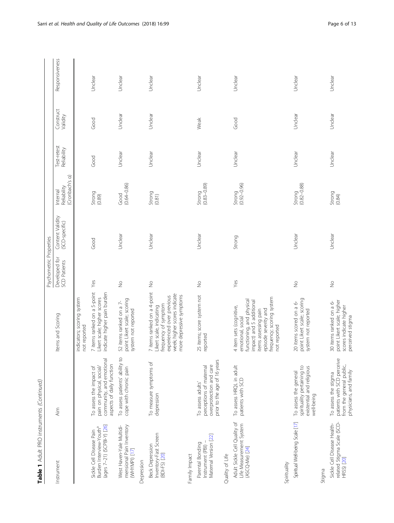| Table 1 Adult PRO instruments (Continued)                                                     |                                                                                                               |                                                                                                                                                                                                    | Psychometric Properties       |                                    |                                           |                            |                       |                |
|-----------------------------------------------------------------------------------------------|---------------------------------------------------------------------------------------------------------------|----------------------------------------------------------------------------------------------------------------------------------------------------------------------------------------------------|-------------------------------|------------------------------------|-------------------------------------------|----------------------------|-----------------------|----------------|
| Instrument                                                                                    | Aim                                                                                                           | Items and Scoring                                                                                                                                                                                  | Developed for<br>SCD Patients | Content Validity<br>(SCD-specific) | (Cronbach's a)<br>Reliability<br>Internal | Test-retest<br>Reliability | Construct<br>Validity | Responsiveness |
|                                                                                               |                                                                                                               | indicators; scoring system<br>not reported                                                                                                                                                         |                               |                                    |                                           |                            |                       |                |
| (ages 7-21) (SCPBI-Y) [26]<br>Burden Interview-Youth <sup>a</sup><br>Sickle Cell Disease Pain | community, and emotional<br>aspects of daily function<br>pain on physical, social/<br>To assess the impact of | 7 items ranked on a 5-point<br>indicate higher pain burden<br>Likert scale; higher scores                                                                                                          | Yes                           | Good                               | Strong<br>(0.89)                          | Good                       | Good                  | Unclear        |
| mensional Pain Inventory<br>West Haven-Yale Multidi-<br>(WHYMPI) [17]                         | To assess patients' ability to<br>cope with chronic pain                                                      | point Likert scale; scoring<br>52 items ranked on a 7-<br>system not reported                                                                                                                      | $\frac{1}{2}$                 | Unclear                            | $(0.64 - 0.86)$<br>Good                   | Unclear                    | Unclear               | Unclear        |
| Depression                                                                                    |                                                                                                               |                                                                                                                                                                                                    |                               |                                    |                                           |                            |                       |                |
| Inventory-Fast Screen<br><b>Beck Depression</b><br>(BDI-FS) [20]                              | To measure symptoms of<br>depression                                                                          | 7 items ranked on a 4-point<br>week higher scores indicate<br>more depressive symptoms<br>experienced over previous<br>frequency of symptom<br>Likert scale, indicating                            | $\frac{1}{2}$                 | Unclear                            | Strong<br>(0.81)                          | Unclear                    | Unclear               | Unclear        |
| Family Impact                                                                                 |                                                                                                               |                                                                                                                                                                                                    |                               |                                    |                                           |                            |                       |                |
| Maternal Version [22]<br>Instrument (PBI) -<br>Parental Bonding                               | prior to the age of 16 years<br>overprotection and care<br>perceptions of maternal<br>To assess adults'       | 25 items; score system not<br>reported                                                                                                                                                             | $\stackrel{\circ}{\geq}$      | Unclear                            | $(0.83 - 0.89)$<br>Strong                 | Unclear                    | Weak                  | Unclear        |
| Quality of Life                                                                               |                                                                                                               |                                                                                                                                                                                                    |                               |                                    |                                           |                            |                       |                |
| Adult Sickle Cell Quality of<br>Life Measurement System<br>(ASCQ-Me) [24]                     | To assess HRQL in adult<br>patients with SCD                                                                  | frequency; scoring system<br>functioning, and physical<br>impact) and 5 additional<br>4 item sets (cognitive,<br>episode severity and<br>items assessing pain<br>emotional, social<br>not reported | Yes                           | Strong                             | $(0.92 - 0.96)$<br>Strong                 | Unclear                    | Good                  | Unclear        |
| Spirituality                                                                                  |                                                                                                               |                                                                                                                                                                                                    |                               |                                    |                                           |                            |                       |                |
| Spiritual Well-being Scale [17]                                                               | spirituality pertaining to<br>existential and religious<br>To assess the general<br>well-being                | point Likert scale; scoring<br>20 items scored on a 6-<br>system not reported                                                                                                                      | $\stackrel{\circ}{\geq}$      | Unclear                            | Strong<br>(0.82–0.88)                     | Unclear                    | Unclear               | Unclear        |
| Stigma                                                                                        |                                                                                                               |                                                                                                                                                                                                    |                               |                                    |                                           |                            |                       |                |
| related Stigma Scale (SCD-<br>Sickle Cell Disease Health-<br><b>HRSS</b> [20]                 | patients with SCD perceive<br>from the general public,<br>physicians, and family<br>To assess the stigma      | point Likert scale; higher<br>30 items ranked on a 6-<br>scores indicate higher<br>perceived stigma                                                                                                | $\frac{1}{2}$                 | Unclear                            | Strong<br>(0.84)                          | Unclear                    | Unclear               | Unclear        |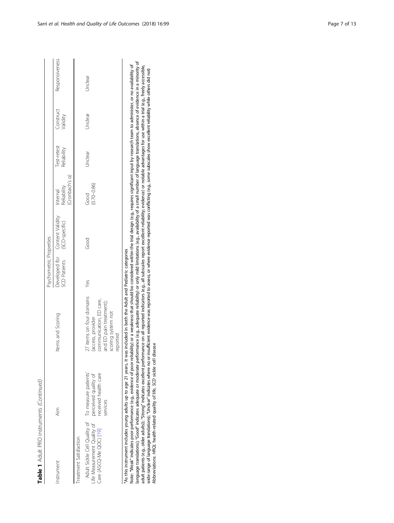Table 1 Adult PRO instruments (Continued) Table 1 Adult PRO instruments (Continued)

|                                                                                        |                                                                                  |                                                                                                                                                                                                                                                                                                                                                                                                                                                                                                                                                                                                | Psychometric Properties |                                                  |                                           |                            |                       |                |
|----------------------------------------------------------------------------------------|----------------------------------------------------------------------------------|------------------------------------------------------------------------------------------------------------------------------------------------------------------------------------------------------------------------------------------------------------------------------------------------------------------------------------------------------------------------------------------------------------------------------------------------------------------------------------------------------------------------------------------------------------------------------------------------|-------------------------|--------------------------------------------------|-------------------------------------------|----------------------------|-----------------------|----------------|
| Instrument                                                                             | Aim                                                                              | Items and Scoring                                                                                                                                                                                                                                                                                                                                                                                                                                                                                                                                                                              | SCD Patients            | Developed for Content Validity<br>(SCD-specific) | (Cronbach's a)<br>Reliability<br>Internal | Test-retest<br>Reliability | Construct<br>validity | Responsiveness |
| <b>Treatment Satisfaction</b>                                                          |                                                                                  |                                                                                                                                                                                                                                                                                                                                                                                                                                                                                                                                                                                                |                         |                                                  |                                           |                            |                       |                |
| Adult Sickle Cell Quality of<br>Life Measurement Quality of<br>Care (ASCQ-Me QOC) [19] | To measure patients'<br>received health care<br>perceived quality of<br>services | 27 items on four domains<br>communication, ED care,<br>and ED pain treatment);<br>scoring system not<br>(access, provider<br>reported                                                                                                                                                                                                                                                                                                                                                                                                                                                          | Yes                     | Good                                             | $(0.70 - 0.86)$<br>Good                   | Unclear                    | Unclear               | Jnclear        |
|                                                                                        |                                                                                  | language translations): "Good" indicates adequate or moderate performance (e.g. adequate elightivi or only mild limitations (e.g. availability of a small number of anglations, absence of evidence in a minority of<br>Note: "Weak" indicates poor performance (e.g., evidence of poor reliability) or a weakness that should be considered within the trial design (e.g., requires significant input by research team to administer, or no availabil<br><sup>9</sup> As this instrument includes young adults up to age 21 years, it was included in both the Adult and Pediatric categories |                         |                                                  |                                           |                            |                       |                |

anguage translations); "Good" indicates adequate or moderate performance (e.g., adequate reliability) or only mild limitations (e.g., availability of a small number of language translations, absence of evidence in a minori language translations); "Good" indicates adequate or moderate performance (e.g. adequate relations) or a small mumber or language translations, absence or evidence in a minority of additionally that included transitions); adult patients (e.g., older adults)); "Strong" indicates excellent performance on all reported indicators (e.g., all subscales report excellent reliability; evidence) or notable advantages for use within a trial (e.g., fre wide range of language translations); "Undicates where no or insufficient evidence was reported to assess, or where evidence reported was conflicting (e.g., some subscales show excellent reliability while others did not) Abbreviations: HRQL health-related quality of life, SCD sickle cell disease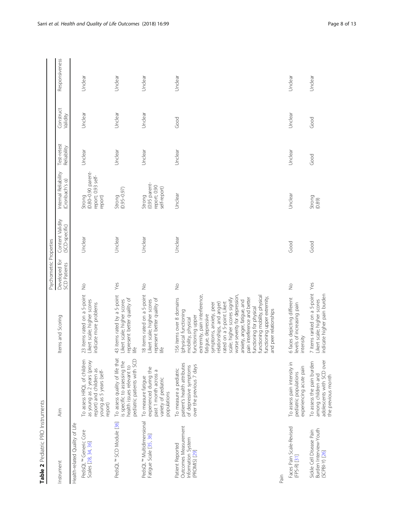| ה בדרו ומה ה והדר<br>j<br>í |  |
|-----------------------------|--|
| Š                           |  |
| リコマリ<br>Doolintri           |  |
|                             |  |
|                             |  |

<span id="page-7-0"></span>

|                                                                                 |                                                                                                                           |                                                                                                                                                                                                                                                                                                                                                                                                                                                                                                     | Psychometric Properties              |                                    |                                                                   |                            |                       |                |
|---------------------------------------------------------------------------------|---------------------------------------------------------------------------------------------------------------------------|-----------------------------------------------------------------------------------------------------------------------------------------------------------------------------------------------------------------------------------------------------------------------------------------------------------------------------------------------------------------------------------------------------------------------------------------------------------------------------------------------------|--------------------------------------|------------------------------------|-------------------------------------------------------------------|----------------------------|-----------------------|----------------|
| Instrument                                                                      | Aim                                                                                                                       | Items and Scoring                                                                                                                                                                                                                                                                                                                                                                                                                                                                                   | Developed for<br><b>SCD Patients</b> | Content Validity<br>(SCD-specific) | Internal Reliability<br>(Cronbach's a)                            | Test-retest<br>Reliability | Construct<br>Validity | Responsiveness |
| Health-related Quality of Life                                                  |                                                                                                                           |                                                                                                                                                                                                                                                                                                                                                                                                                                                                                                     |                                      |                                    |                                                                   |                            |                       |                |
| PedsQL <sup>™</sup> Generic Core<br>Scales [28, 34, 36]                         | To assess HRQL of children<br>as young as 2 years (proxy<br>report) and children as<br>young as 5 years (self-<br>report) | 23 items rated on a 5-point<br>Likert scale; higher scores<br>indicate more problems                                                                                                                                                                                                                                                                                                                                                                                                                | $\frac{1}{2}$                        | Unclear                            | $(0.80 - 0.90$ parent-<br>report; 0.93 self-<br>Strong<br>report) | Unclear                    | Unclear               | Unclear        |
| PedsQL <sup>™</sup> SCD Module [36]                                             | To assess quality of life that<br>pediatric patients with SCD<br>s specific to assessing the<br>health issues relevant to | 43 items rated by a 5-point<br>represent better quality of<br>Likert scale; higher scores<br>life                                                                                                                                                                                                                                                                                                                                                                                                   | Yes                                  | Unclear                            | $(0.95 - 0.97)$<br>Strong                                         | Unclear                    | Unclear               | Unclear        |
| PedsQL <sup>™</sup> Multidimensional<br>Fatique Scale [35, 36]                  | experienced during the<br>past 1 month across a<br>To measure fatigue<br>variety of pediatric<br>populations              | 18 items rated on a 5-point<br>represent better quality of<br>Likert scale; higher scores<br>≝                                                                                                                                                                                                                                                                                                                                                                                                      | $\frac{1}{2}$                        | Unclear                            | (0.95 parent-<br>report; 0.90<br>self-report)<br>Strong           | Unclear                    | Unclear               | Unclear        |
| Outcomes Measurement<br>Information System<br>Patient Reported<br>(PROMIS) [29] | patient's health attributes<br>over the previous 7 days<br>of depressive symptoms<br>To measure a pediatric               | extremity, pain interference,<br>worse severity for depression,<br>functioning mobility, physical<br>functioning upper extremity,<br>pain interference and better<br>156 items over 8 domains<br>scale; higher scores signify<br>anxiety, anger, fatigue, and<br>rated on a 5-point Likert<br>symptoms, anxiety, peer<br>relationships, and anger)<br>functioning for physical<br>and peer relationships<br>(physical functioning<br>fatigue, depressive<br>functioning upper<br>mobility, physical | $\stackrel{\circ}{\geq}$             | Unclear                            | Unclear                                                           | Unclear                    | Good                  | Unclear        |
| Pain                                                                            |                                                                                                                           |                                                                                                                                                                                                                                                                                                                                                                                                                                                                                                     |                                      |                                    |                                                                   |                            |                       |                |
| Faces Pain Scale-Revised<br>(FPS-R) [31]                                        | To assess pain intensity in<br>experiencing acute pain<br>pediatric populations                                           | 6 faces depicting different<br>levels of increasing pain<br>intensity                                                                                                                                                                                                                                                                                                                                                                                                                               | $\frac{1}{2}$                        | Good                               | Unclear                                                           | Unclear                    | Unclear               | Unclear        |
| Burden Interview-Youth<br>Sickle Cell Disease Pain<br>(SCPBI-Y) [26]            | adolescents with SCD over<br>To assess the pain burden<br>among children and<br>the previous month                        | 7 items ranked on a 5-point<br>indicate higher pain burden<br>Likert scale; higher scores                                                                                                                                                                                                                                                                                                                                                                                                           | Yes                                  | Good                               | Strong<br>(0.89)                                                  | Good                       | Good                  | Unclear        |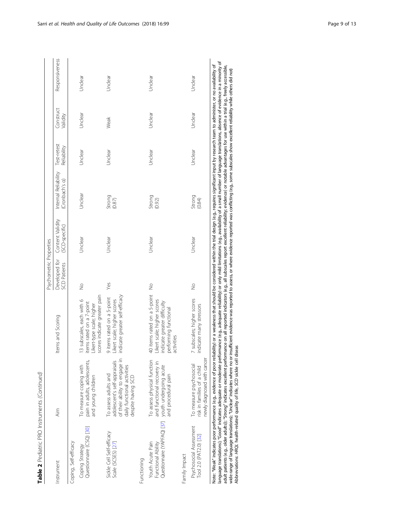| Table 2 Pediatric PRO Instruments (Continued)                         |                                                                                                                                            |                                                                                                                                                                                                                                | Psychometric Properties       |                                    |                                                                 |                            |                       |                |
|-----------------------------------------------------------------------|--------------------------------------------------------------------------------------------------------------------------------------------|--------------------------------------------------------------------------------------------------------------------------------------------------------------------------------------------------------------------------------|-------------------------------|------------------------------------|-----------------------------------------------------------------|----------------------------|-----------------------|----------------|
| Instrument                                                            | Aim                                                                                                                                        | Items and Scoring                                                                                                                                                                                                              | Developed for<br>SCD Patients | Content Validity<br>(SCD-specific) | Internal Reliability<br>(Cronbach's q)                          | Test-retest<br>Reliability | Construct<br>Validity | Responsiveness |
| Coping, Self-efficacy                                                 |                                                                                                                                            |                                                                                                                                                                                                                                |                               |                                    |                                                                 |                            |                       |                |
| Questionnaire (CSQ) [30]<br>Coping Strategy                           | pain in adults, adolescents,<br>To measure coping with<br>and young children                                                               | scores indicate greater pain<br>13 subscales, each with 6<br>items rated on a 7-point<br>Likert-type scale; higher                                                                                                             | $\frac{1}{2}$                 | Unclear                            | Unclear                                                         | Unclear                    | Unclear               | Unclear        |
| Sickle Cell Self-efficacy<br>Scale (SCSES) [27]                       | of their ability to engage in<br>adolescent's self-appraisals<br>daily functional activities<br>To assess adults and<br>despite having SCD | indicate greater self-efficacy<br>9 items rated on a 5-point<br>Likert scale; higher scores                                                                                                                                    | Yes                           | Unclear                            | $\begin{array}{c}\n\text{Strong} \\ \text{(0.87)}\n\end{array}$ | Unclear                    | Weak                  | Unclear        |
| Functioning                                                           |                                                                                                                                            |                                                                                                                                                                                                                                |                               |                                    |                                                                 |                            |                       |                |
| Questionnaire (YAPFAQ) [37]<br>Youth Acute Pain<br>Functional Ability | To assess physical function<br>and functional recovery in<br>youth undergoing acute<br>and procedural pain                                 | 40 items rated on a 5-point<br>Likert scale; higher scores<br>indicate greater difficulty<br>performing functional<br>activities                                                                                               | $\frac{1}{2}$                 | Unclear                            | Strong<br>(0.92)                                                | Unclear                    | Unclear               | Unclear        |
| Family Impact                                                         |                                                                                                                                            |                                                                                                                                                                                                                                |                               |                                    |                                                                 |                            |                       |                |
| Psychosocial Assessment<br>Tool 2.0 (PAT2.0) [32]                     | newly diagnosed with cancer<br>To measure psychosocial<br>risk in families of a child                                                      | 7 subscales; higher scores<br>indicate many stressors                                                                                                                                                                          | $\frac{1}{2}$                 | Unclear                            | Strong<br>(0.84)                                                | Unclear                    | Unclear               | Unclear        |
|                                                                       |                                                                                                                                            | Note: "Weak" indicates poor performance (e.g., evidence of poor reliability) or a weakness that should be considered within the trial design (e.g., requires significant input by research team to administer, or no availabil |                               |                                    |                                                                 |                            |                       |                |

language translations); "Good" indicates adequate or moderate performance (e.g., adequate reliability) or only mild limitations (e.g., availability of a small number of language translations, absence of evidence in a minor anquage translations); "Good" indicates adequate or moderate performance (e.g., adequate reliability) or only mild limitations (e.g., availability of a small number of language translations, absence of evidence in a minori adult patients (e.g., older adults)); "Strong" indicates excellent performance on all reported indicators (e.g., all subscales report excellent reliability; evidence) or notable advantages for use within a trial (e.g., fre wide range of language translations); "Undicates where no or insufficient evidence was reported to assess, or where evidence reported was conflicting (e.g., some subscales show excellent reliability while others did not) Abbreviations: HRQL health-related quality of life, SCD sickle cell diseas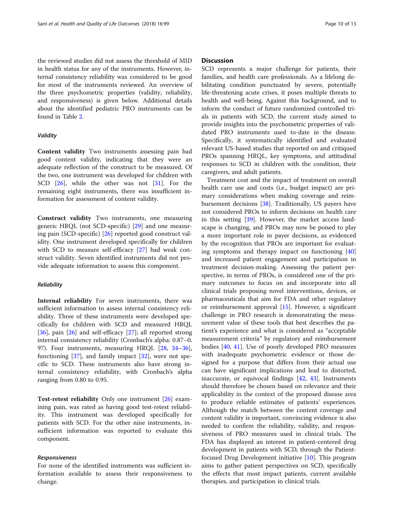the reviewed studies did not assess the threshold of MID in health status for any of the instruments. However, internal consistency reliability was considered to be good for most of the instruments reviewed. An overview of the three psychometric properties (validity, reliability, and responsiveness) is given below. Additional details about the identified pediatric PRO instruments can be found in Table [2](#page-7-0).

#### Validity

Content validity Two instruments assessing pain had good content validity, indicating that they were an adequate reflection of the construct to be measured. Of the two, one instrument was developed for children with SCD [\[26\]](#page-11-0), while the other was not [[31\]](#page-11-0). For the remaining eight instruments, there was insufficient information for assessment of content validity.

Construct validity Two instruments, one measuring generic HRQL (not SCD-specific) [\[29](#page-11-0)] and one measuring pain (SCD-specific) [[26](#page-11-0)] reported good construct validity. One instrument developed specifically for children with SCD to measure self-efficacy [[27\]](#page-11-0) had weak construct validity. Seven identified instruments did not provide adequate information to assess this component.

#### **Reliability**

Internal reliability For seven instruments, there was sufficient information to assess internal consistency reliability. Three of these instruments were developed specifically for children with SCD and measured HRQL [[36\]](#page-12-0), pain [\[26](#page-11-0)] and self-efficacy [[27](#page-11-0)]; all reported strong internal consistency reliability (Cronbach's alpha: 0.87–0. 97). Four instruments, measuring HRQL [\[28](#page-11-0), [34](#page-11-0)–[36](#page-12-0)], functioning [[37\]](#page-12-0), and family impact [\[32](#page-11-0)], were not specific to SCD. These instruments also have strong internal consistency reliability, with Cronbach's alpha ranging from 0.80 to 0.95.

Test-retest reliability Only one instrument [\[26](#page-11-0)] examining pain, was rated as having good test-retest reliability. This instrument was developed specifically for patients with SCD. For the other nine instruments, insufficient information was reported to evaluate this component.

#### Responsiveness

For none of the identified instruments was sufficient information available to assess their responsiveness to change.

# **Discussion**

SCD represents a major challenge for patients, their families, and health care professionals. As a lifelong debilitating condition punctuated by severe, potentially life-threatening acute crises, it poses multiple threats to health and well-being. Against this background, and to inform the conduct of future randomized controlled trials in patients with SCD, the current study aimed to provide insights into the psychometric properties of validated PRO instruments used to-date in the disease. Specifically, it systematically identified and evaluated relevant US-based studies that reported on and critiqued PROs spanning HRQL, key symptoms, and attitudinal responses to SCD in children with the condition, their caregivers, and adult patients.

Treatment cost and the impact of treatment on overall health care use and costs (i.e., budget impact) are primary considerations when making coverage and reimbursement decisions [[38](#page-12-0)]. Traditionally, US payers have not considered PROs to inform decisions on health care in this setting [[39\]](#page-12-0). However, the market access landscape is changing, and PROs may now be poised to play a more important role in payer decisions, as evidenced by the recognition that PROs are important for evaluating symptoms and therapy impact on functioning [[40](#page-12-0)] and increased patient engagement and participation in treatment decision-making. Assessing the patient perspective, in terms of PROs, is considered one of the primary outcomes to focus on and incorporate into all clinical trials proposing novel interventions, devices, or pharmaceuticals that aim for FDA and other regulatory or reimbursement approval [[15](#page-11-0)]. However, a significant challenge in PRO research is demonstrating the measurement value of these tools that best describes the patient's experience and what is considered as "acceptable measurement criteria" by regulatory and reimbursement bodies [[40,](#page-12-0) [41](#page-12-0)]. Use of poorly developed PRO measures with inadequate psychometric evidence or those designed for a purpose that differs from their actual use can have significant implications and lead to distorted, inaccurate, or equivocal findings [[42,](#page-12-0) [43\]](#page-12-0). Instruments should therefore be chosen based on relevance and their applicability in the context of the proposed disease area to produce reliable estimates of patients' experiences. Although the match between the content coverage and content validity is important, convincing evidence is also needed to confirm the reliability, validity, and responsiveness of PRO measures used in clinical trials. The FDA has displayed an interest in patient-centered drug development in patients with SCD, through the Patientfocused Drug Development initiative [\[10](#page-11-0)]. This program aims to gather patient perspectives on SCD, specifically the effects that most impact patients, current available therapies, and participation in clinical trials.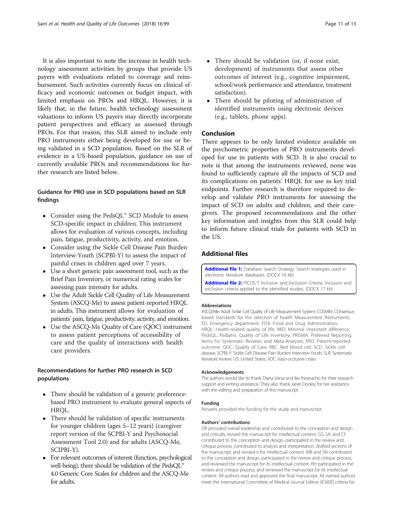<span id="page-10-0"></span>It is also important to note the increase in health technology assessment activities by groups that provide US payers with evaluations related to coverage and reimbursement. Such activities currently focus on clinical efficacy and economic outcomes or budget impact, with limited emphasis on PROs and HRQL. However, it is likely that, in the future, health technology assessment valuations to inform US payers may directly incorporate patient perspectives and efficacy as assessed through PROs. For that reason, this SLR aimed to include only PRO instruments either being developed for use or being validated in a SCD population. Based on the SLR of evidence in a US-based population, guidance on use of currently available PROs and recommendations for further research are listed below.

# Guidance for PRO use in SCD populations based on SLR findings

- Consider using the PedsQL™ SCD Module to assess SCD-specific impact in children. This instrument allows for evaluation of various concepts, including pain, fatigue, productivity, activity, and emotion.
- Consider using the Sickle Cell Disease Pain Burden Interview-Youth (SCPBI-Y) to assess the impact of painful crises in children aged over 7 years.
- Use a short generic pain assessment tool, such as the Brief Pain Inventory, or numerical rating scales for assessing pain intensity for adults.
- Use the Adult Sickle Cell Quality of Life Measurement System (ASCQ-Me) to assess patient-reported HRQL in adults. This instrument allows for evaluation of patients' pain, fatigue, productivity, activity, and emotion.
- Use the ASCQ-Me Quality of Care (QOC) instrument to assess patient perceptions of accessibility of care and the quality of interactions with health care providers.

# Recommendations for further PRO research in SCD populations

- There should be validation of a generic preferencebased PRO instrument to evaluate general aspects of HRQL.
- There should be validation of specific instruments for younger children (ages 5–12 years) (caregiver report version of the SCPBI-Y and Psychosocial Assessment Tool 2.0) and for adults (ASCQ-Me, SCIPBI-Y).
- For relevant outcomes of interest (function, psychological well-being), there should be validation of the PedsQL™ 4.0 Generic Core Scales for children and the ASCQ-Me for adults.
- There should be validation (or, if none exist, development) of instruments that assess other outcomes of interest (e.g., cognitive impairment, school/work performance and attendance, treatment satisfaction).
- There should be piloting of administration of identified instruments using electronic devices (e.g., tablets, phone apps).

# Conclusion

There appears to be only limited evidence available on the psychometric properties of PRO instruments developed for use in patients with SCD. It is also crucial to note is that among the instruments reviewed, none was found to sufficiently capture all the impacts of SCD and its complications on patients' HRQL for use as key trial endpoints. Further research is therefore required to develop and validate PRO instruments for assessing the impact of SCD on adults and children, and their caregivers. The proposed recommendations and the other key information and insights from this SLR could help to inform future clinical trials for patients with SCD in the US.

# Additional files

[Additional file 1:](https://doi.org/10.1186/s12955-018-0930-y) Database Search Strategy. Search strategies used in electronic literature databases. (DOCX 16 kb)

[Additional file 2:](https://doi.org/10.1186/s12955-018-0930-y) PICOS-T Inclusion and Exclusion Criteria. Inclusion and exclusion criteria applied to the identified studies. (DOCX 17 kb)

#### Abbreviations

ASCQ-Me: Adult Sickle Cell Quality of Life Measurement System; COSMIN: COnsensusbased Standards for the selection of health Measurement INstruments; ED: Emergency department; FDA: Food and Drug Administration; HRQL: Health-related quality of life; MID: Minimal important difference; PedsQL: Pediatric Quality of Life Inventory; PRISMA: Preferred Reporting Items for Systematic Reviews and Meta-Analyses; PRO: Patient-reported outcome; QOC: Quality of Care; RBC: Red blood cell; SCD: Sickle cell disease; SCPBI-Y: Sickle Cell Disease Pain Burden Interview-Youth; SLR: Systematic literature review; US: United States; VOC: Vaso-occlusive crises

#### Acknowledgements

The authors would like to thank Diana Vania and Ike Iheanacho for their research support and writing assistance. They also thank Janet Dooley for her assistance with the editing and preparation of this manuscript.

#### Funding

Novartis provided the funding for the study and manuscript.

#### Authors' contributions

DR provided overall leadership and contributed to the conception and design and critically revised the manuscript for intellectual content. GS, SA, and CF contributed to the conception and design, participated in the review and critique process, contributed to analysis and interpretation, drafted sections of the manuscript, and revised it for intellectual content. MB and SN contributed to the conception and design, participated in the review and critique process, and reviewed the manuscript for its intellectual content. RH participated in the review and critique process, and reviewed the manuscript for its intellectual content. All authors read and approved the final manuscript. All named authors meet the International Committee of Medical Journal Editors (ICMJE) criteria for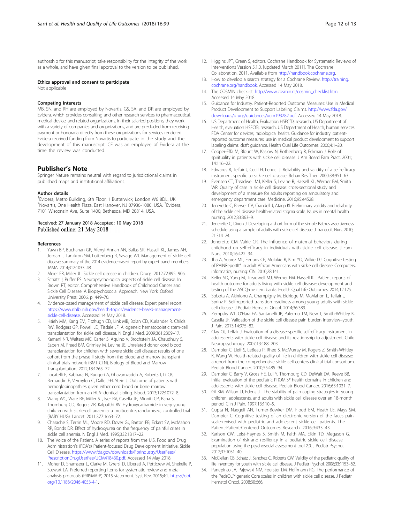<span id="page-11-0"></span>authorship for this manuscript, take responsibility for the integrity of the work as a whole, and have given final approval to the version to be published.

#### Ethics approval and consent to participate

Not applicable

#### Competing interests

MB, SN, and RH are employed by Novartis. GS, SA, and DR are employed by Evidera, which provides consulting and other research services to pharmaceutical, medical device, and related organizations. In their salaried positions, they work with a variety of companies and organizations, and are precluded from receiving payment or honoraria directly from these organizations for services rendered. Evidera received funding from Novartis to participate in the study and the development of this manuscript. CF was an employee of Evidera at the time the review was conducted.

#### Publisher's Note

Springer Nature remains neutral with regard to jurisdictional claims in published maps and institutional affiliations.

#### Author details

<sup>1</sup> Evidera, Metro Building, 6th Floor, 1 Butterwick, London W6 8DL, UK. <sup>2</sup>Novartis, One Health Plaza, East Hanover, NJ 07936-1080, USA. <sup>3</sup>Evidera, 7101 Wisconsin Ave, Suite 1400, Bethesda, MD 20814, USA.

#### Received: 27 January 2018 Accepted: 10 May 2018 Published online: 21 May 2018

#### References

- Yawn BP, Buchanan GR, Afenyi-Annan AN, Ballas SK, Hassell KL, James AH, Jordan L, Lanzkron SM, Lottenberg R, Savage WJ. Management of sickle cell disease: summary of the 2014 evidence-based report by expert panel members. JAMA. 2014;312:1033–48.
- 2. Meier ER, Miller JL. Sickle cell disease in children. Drugs. 2012;72:895–906.
- 3. Schatz J, Puffer ES. Neuropsychological aspects of sickle cell disease. In: Brown RT, editor. Comprehensive Handbook of Childhood Cancer and Sickle Cell Disease: A Biopsychosocial Approach. New York: Oxford University Press; 2006. p. 449–70.
- 4. Evidence-based management of sickle cell disease: Expert panel report. [https://www.nhlbi.nih.gov/health-topics/evidence-based-management](https://www.nhlbi.nih.gov/health-topics/evidence-based-management-sickle-cell-disease)[sickle-cell-disease.](https://www.nhlbi.nih.gov/health-topics/evidence-based-management-sickle-cell-disease) Accessed 14 May 2018.
- 5. Hsieh MM, Kang EM, Fitzhugh CD, Link MB, Bolan CD, Kurlander R, Childs RW, Rodgers GP, Powell JD, Tisdale JF. Allogeneic hematopoietic stem-cell transplantation for sickle cell disease. N Engl J Med. 2009;361:2309–17.
- Kamani NR, Walters MC, Carter S, Aquino V, Brochstein JA, Chaudhury S, Eapen M, Freed BM, Grimley M, Levine JE. Unrelated donor cord blood transplantation for children with severe sickle cell disease: results of one cohort from the phase II study from the blood and marrow transplant clinical trials network (BMT CTN). Biology of Blood and Marrow Transplantation. 2012;18:1265–72.
- Locatelli F, Kabbara N, Ruggeri A, Ghavamzadeh A, Roberts I, Li CK, Bernaudin F, Vermylen C, Dalle J-H, Stein J. Outcome of patients with hemoglobinopathies given either cord blood or bone marrow transplantation from an HLA-identical sibling. Blood. 2013;122:1072–8.
- 8. Wang WC, Ware RE, Miller ST, Iyer RV, Casella JF, Minniti CP, Rana S, Thornburg CD, Rogers ZR, Kalpatthi RV. Hydroxycarbamide in very young children with sickle-cell anaemia: a multicentre, randomised, controlled trial (BABY HUG). Lancet. 2011;377:1663–72.
- 9. Charache S, Terrin ML, Moore RD, Dover GJ, Barton FB, Eckert SV, McMahon RP, Bonds DR. Effect of hydroxyurea on the frequency of painful crises in sickle cell anemia. N Engl J Med. 1995;332:1317–22.
- 10. The Voice of the Patient. A series of reports from the U.S. Food and Drug Administration's (FDA's) Patient-focused Drug Development Initiative. Sickle Cell Disease. [https://www.fda.gov/downloads/ForIndustry/UserFees/](https://www.fda.gov/downloads/ForIndustry/UserFees/PrescriptionDrugUserFee/UCM418430.pdf) [PrescriptionDrugUserFee/UCM418430.pdf.](https://www.fda.gov/downloads/ForIndustry/UserFees/PrescriptionDrugUserFee/UCM418430.pdf) Accessed 14 May 2018.
- 11. Moher D, Shamseer L, Clarke M, Ghersi D, Liberati A, Petticrew M, Shekelle P, Stewart LA. Preferred reporting items for systematic review and metaanalysis protocols (PRISMA-P) 2015 statement. Syst Rev. 2015;4:1. [https://doi.](https://doi.org/10.1186/2046-4053-4-1) [org/10.1186/2046-4053-4-1](https://doi.org/10.1186/2046-4053-4-1).
- 12. Higgins JPT, Green S, editors. Cochrane Handbook for Systematic Reviews of Interventions Version 5.1.0. [updated March 2011]. The Cochrane Collaboration, 2011. Available from [http://handbook.cochrane.org.](http://handbook.cochrane.org)
- 13. How to develop a search strategy for a Cochrane Review. [http://training.](http://training.cochrane.org/handbook20strategy-support-manual.pdf) [cochrane.org/handbook](http://training.cochrane.org/handbook20strategy-support-manual.pdf). Accessed 14 May 2018.
- 14. The COSMIN checklist. [http://www.cosmin.nl/cosmin\\_checklist.html](http://www.cosmin.nl/cosmin_checklist.html). Accessed 14 May 2018.
- 15. Guidance for Industry. Patient-Reported Outcome Measures: Use in Medical Product Development to Support Labeling Claims. [http://www.fda.gov/](http://www.fda.gov/downloads/drugs/guidances/ucm193282.pdf) [downloads/drugs/guidances/ucm193282.pdf](http://www.fda.gov/downloads/drugs/guidances/ucm193282.pdf). Accessed 14 May 2018.
- 16. US Department of Health, Evaluation HSFCfD, research, US Department of Health, evaluation HSFCfB, research, US Department of Health, human services FDA Center for devices, radiological health. Guidance for industry: patientreported outcome measures: use in medical product development to support labeling claims: draft guidance. Health Qual Life Outcomes. 2006;4:1–20.
- 17. Cooper-Effa M, Blount W, Kaslow N, Rothenberg R, Eckman J. Role of spirituality in patients with sickle cell disease. J Am Board Fam Pract. 2001; 14:116–22.
- 18. Edwards R, Telfair J, Cecil H, Lenoci J. Reliability and validity of a self-efficacy instrument specific to sickle cell disease. Behav Res Ther. 2000;38:951–63.
- 19. Evensen CT, Treadwell MJ, Keller S, Levine R, Hassell KL, Werner EM, Smith WR. Quality of care in sickle cell disease: cross-sectional study and development of a measure for adults reporting on ambulatory and emergency department care. Medicine. 2016;95:e4528.
- 20. Jenerette C, Brewer CA, Crandell J, Ataga KI. Preliminary validity and reliability of the sickle cell disease health-related stigma scale. Issues in mental health nursing. 2012;33:363–9.
- 21. Jenerette C, Dixon J. Developing a short form of the simple Rathus assertiveness schedule using a sample of adults with sickle cell disease. J Transcult Nurs. 2010; 21:314–24.
- 22. Jenerette CM, Valrie CR. The influence of maternal behaviors during childhood on self-efficacy in individuals with sickle cell disease. J Fam Nurs. 2010;16:422–34.
- 23. Jha A, Suarez ML, Ferrans CE, Molokie R, Kim YO, Wilkie DJ. Cognitive testing of PAINReportIt® in adult African Americans with sickle cell disease. Computers, informatics, nursing: CIN. 2010;28:141.
- 24. Keller SD, Yang M, Treadwell MJ, Werner EM, Hassell KL. Patient reports of health outcome for adults living with sickle cell disease: development and testing of the ASCQ-me item banks. Health Qual Life Outcomes. 2014;12:125.
- 25. Sobota A, Akinlonu A, Champigny M, Eldridge M, McMahon L, Telfair J, Sprinz P. Self-reported transition readiness among young adults with sickle cell disease. J Pediatr Hematol Oncol. 2014;36:389.
- 26. Zempsky WT, O'Hara EA, Santanelli JP, Palermo TM, New T, Smith-Whitley K, Casella JF. Validation of the sickle cell disease pain burden interview–youth. J Pain. 2013;14:975–82.
- 27. Clay OJ, Telfair J. Evaluation of a disease-specific self-efficacy instrument in adolescents with sickle cell disease and its relationship to adjustment. Child Neuropsychology. 2007;13:188–203.
- 28. Dampier C, Lieff S, LeBeau P, Rhee S, McMurray M, Rogers Z, Smith-Whitley K, Wang W. Health-related quality of life in children with sickle cell disease: a report from the comprehensive sickle cell centers clinical trial consortium. Pediatr Blood Cancer. 2010;55:485–94.
- 29. Dampier C, Barry V, Gross HE, Lui Y, Thornburg CD, DeWalt DA, Reeve BB. Initial evaluation of the pediatric PROMIS® health domains in children and adolescents with sickle cell disease. Pediatr Blood Cancer. 2016;63:1031–7.
- 30. Gil KM, Wilson JJ, Edens JL. The stability of pain coping strategies in young children, adolescents, and adults with sickle cell disease over an 18-month period. Clin J Pain. 1997;13:110–5.
- 31. Gupta N, Naegeli AN, Turner-Bowker DM, Flood EM, Heath LE, Mays SM, Dampier C. Cognitive testing of an electronic version of the faces pain scale-revised with pediatric and adolescent sickle cell patients. The Patient-Patient-Centered Outcomes Research. 2016;9:433–43.
- 32. Karlson CW, Leist-Haynes S, Smith M, Faith MA, Elkin TD, Megason G. Examination of risk and resiliency in a pediatric sickle cell disease population using the psychosocial assessment tool 2.0. J Pediatr Psychol. 2012;37:1031–40.
- 33. McClellan CB, Schatz J, Sanchez C, Roberts CW. Validity of the pediatric quality of life inventory for youth with sickle cell disease. J Pediatr Psychol. 2008;33:1153–62.
- 34. Panepinto JA, Pajewski NM, Foerster LM, Hoffmann RG. The performance of the PedsQL™ generic Core scales in children with sickle cell disease. J Pediatr Hematol Oncol. 2008;30:666.